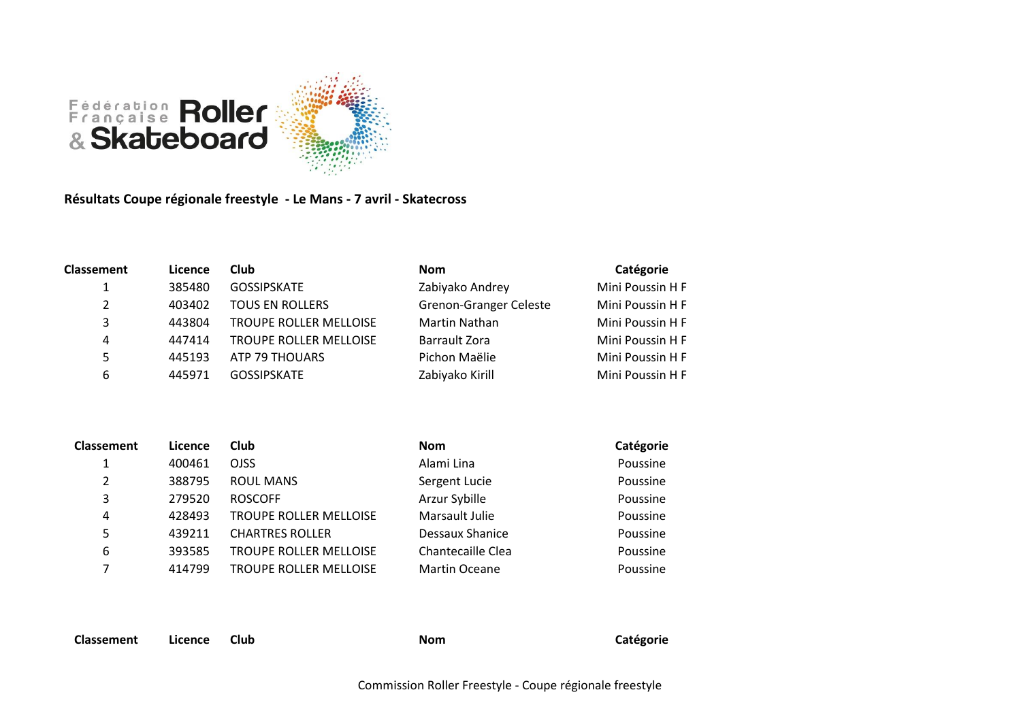

**Résultats Coupe régionale freestyle - Le Mans - 7 avril - Skatecross**

| <b>Classement</b> | Licence | <b>Club</b>                   | <b>Nom</b>                    | Catégorie        |
|-------------------|---------|-------------------------------|-------------------------------|------------------|
| 1                 | 385480  | <b>GOSSIPSKATE</b>            | Zabiyako Andrey               | Mini Poussin H F |
| $\overline{2}$    | 403402  | <b>TOUS EN ROLLERS</b>        | <b>Grenon-Granger Celeste</b> | Mini Poussin H F |
| 3                 | 443804  | <b>TROUPE ROLLER MELLOISE</b> | Martin Nathan                 | Mini Poussin H F |
| 4                 | 447414  | <b>TROUPE ROLLER MELLOISE</b> | Barrault Zora                 | Mini Poussin H F |
| 5                 | 445193  | ATP 79 THOUARS                | Pichon Maëlie                 | Mini Poussin H F |
| 6                 | 445971  | <b>GOSSIPSKATE</b>            | Zabiyako Kirill               | Mini Poussin H F |

| <b>Classement</b> | Licence | <b>Club</b>            | <b>Nom</b>           | Catégorie |
|-------------------|---------|------------------------|----------------------|-----------|
| 1                 | 400461  | <b>OJSS</b>            | Alami Lina           | Poussine  |
| 2                 | 388795  | <b>ROUL MANS</b>       | Sergent Lucie        | Poussine  |
| 3                 | 279520  | <b>ROSCOFF</b>         | Arzur Sybille        | Poussine  |
| 4                 | 428493  | TROUPE ROLLER MELLOISE | Marsault Julie       | Poussine  |
| 5                 | 439211  | <b>CHARTRES ROLLER</b> | Dessaux Shanice      | Poussine  |
| 6                 | 393585  | TROUPE ROLLER MELLOISE | Chantecaille Clea    | Poussine  |
| 7                 | 414799  | TROUPE ROLLER MELLOISE | <b>Martin Oceane</b> | Poussine  |
|                   |         |                        |                      |           |

**Classement Licence Club Nom Catégorie**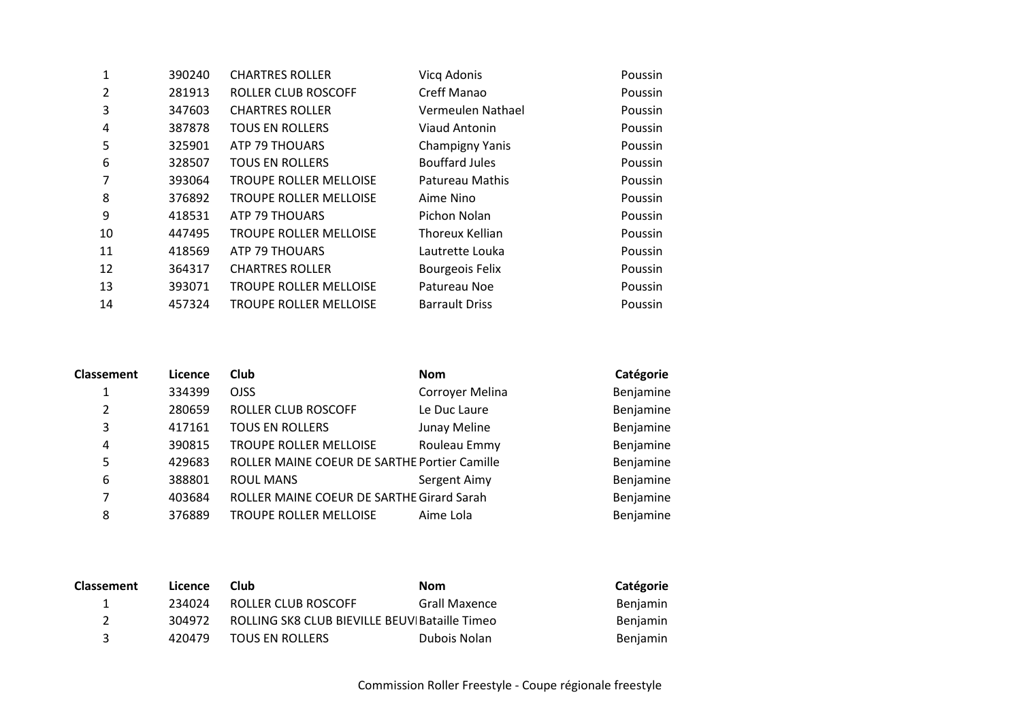| 1  | 390240 | <b>CHARTRES ROLLER</b>        | Vicq Adonis            | Poussin |
|----|--------|-------------------------------|------------------------|---------|
| 2  | 281913 | ROLLER CLUB ROSCOFF           | Creff Manao            | Poussin |
| 3  | 347603 | <b>CHARTRES ROLLER</b>        | Vermeulen Nathael      | Poussin |
| 4  | 387878 | <b>TOUS EN ROLLERS</b>        | <b>Viaud Antonin</b>   | Poussin |
| 5  | 325901 | ATP 79 THOUARS                | Champigny Yanis        | Poussin |
| 6  | 328507 | <b>TOUS EN ROLLERS</b>        | <b>Bouffard Jules</b>  | Poussin |
| 7  | 393064 | <b>TROUPE ROLLER MELLOISE</b> | Patureau Mathis        | Poussin |
| 8  | 376892 | <b>TROUPE ROLLER MELLOISE</b> | Aime Nino              | Poussin |
| 9  | 418531 | ATP 79 THOUARS                | Pichon Nolan           | Poussin |
| 10 | 447495 | <b>TROUPE ROLLER MELLOISE</b> | Thoreux Kellian        | Poussin |
| 11 | 418569 | ATP 79 THOUARS                | Lautrette Louka        | Poussin |
| 12 | 364317 | <b>CHARTRES ROLLER</b>        | <b>Bourgeois Felix</b> | Poussin |
| 13 | 393071 | <b>TROUPE ROLLER MELLOISE</b> | Patureau Noe           | Poussin |
| 14 | 457324 | <b>TROUPE ROLLER MELLOISE</b> | <b>Barrault Driss</b>  | Poussin |
|    |        |                               |                        |         |

| <b>Classement</b> | Licence | <b>Club</b>                                  | <b>Nom</b>      | Catégorie |
|-------------------|---------|----------------------------------------------|-----------------|-----------|
|                   | 334399  | <b>OJSS</b>                                  | Corroyer Melina | Benjamine |
| 2                 | 280659  | ROLLER CLUB ROSCOFF                          | Le Duc Laure    | Benjamine |
| 3                 | 417161  | <b>TOUS EN ROLLERS</b>                       | Junay Meline    | Benjamine |
| 4                 | 390815  | <b>TROUPE ROLLER MELLOISE</b>                | Rouleau Emmy    | Benjamine |
| 5                 | 429683  | ROLLER MAINE COEUR DE SARTHE Portier Camille |                 | Benjamine |
| 6                 | 388801  | <b>ROUL MANS</b>                             | Sergent Aimy    | Benjamine |
| 7                 | 403684  | ROLLER MAINE COEUR DE SARTHE Girard Sarah    |                 | Benjamine |
| 8                 | 376889  | TROUPE ROLLER MELLOISE                       | Aime Lola       | Benjamine |

| <b>Classement</b> | Licence | Club                                          | Nom           | Catégorie       |
|-------------------|---------|-----------------------------------------------|---------------|-----------------|
| ı.                | 234024  | ROLLER CLUB ROSCOFF                           | Grall Maxence | <b>Benjamin</b> |
| $\mathcal{P}$     | 304972  | ROLLING SK8 CLUB BIEVILLE BEUV Bataille Timeo |               | Benjamin        |
| ર                 | 420479  | <b>TOUS EN ROLLERS</b>                        | Dubois Nolan  | <b>Benjamin</b> |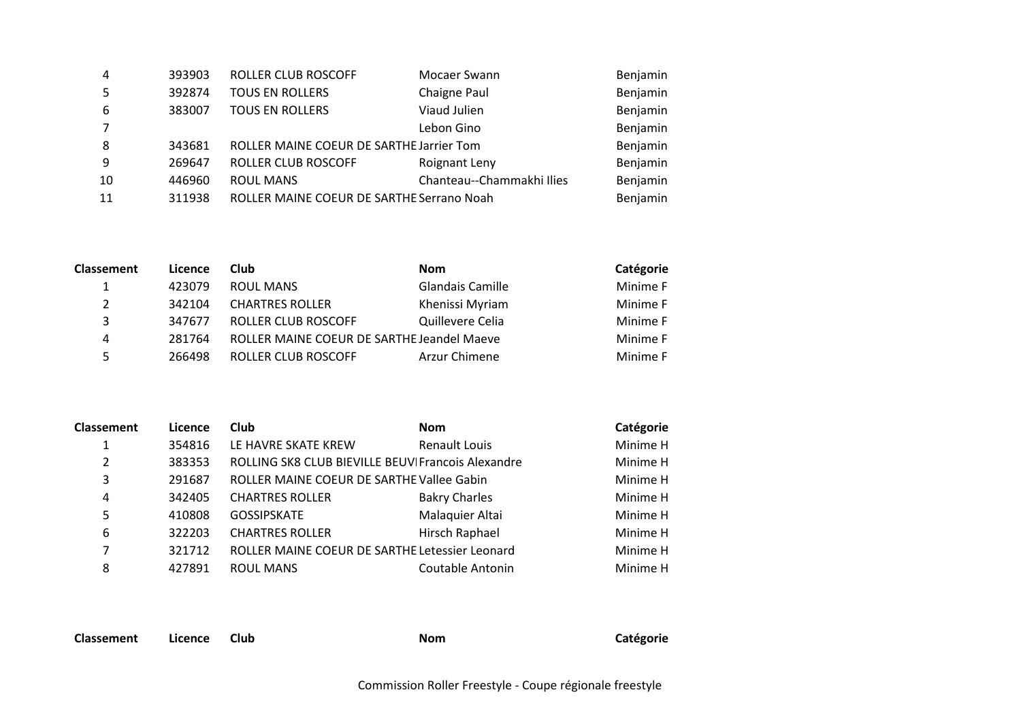| $\overline{4}$ | 393903 | <b>ROLLER CLUB ROSCOFF</b>                | Mocaer Swann              | Benjamin |
|----------------|--------|-------------------------------------------|---------------------------|----------|
| -5             | 392874 | <b>TOUS EN ROLLERS</b>                    | Chaigne Paul              | Benjamin |
| 6              | 383007 | <b>TOUS EN ROLLERS</b>                    | Viaud Julien              | Benjamin |
| $\overline{7}$ |        |                                           | Lebon Gino                | Benjamin |
| 8              | 343681 | ROLLER MAINE COEUR DE SARTHE Jarrier Tom  |                           | Benjamin |
| 9              | 269647 | ROLLER CLUB ROSCOFF                       | Roignant Leny             | Benjamin |
| 10             | 446960 | <b>ROUL MANS</b>                          | Chanteau--Chammakhi Ilies | Benjamin |
| 11             | 311938 | ROLLER MAINE COEUR DE SARTHE Serrano Noah |                           | Benjamin |

| <b>Classement</b> | Licence | Club                                       | <b>Nom</b>              | Catégorie |
|-------------------|---------|--------------------------------------------|-------------------------|-----------|
|                   | 423079  | <b>ROUL MANS</b>                           | <b>Glandais Camille</b> | Minime F  |
| 2                 | 342104  | <b>CHARTRES ROLLER</b>                     | Khenissi Myriam         | Minime F  |
| 3                 | 347677  | ROLLER CLUB ROSCOFF                        | Quillevere Celia        | Minime F  |
| 4                 | 281764  | ROLLER MAINE COEUR DE SARTHE Jeandel Maeve |                         | Minime F  |
| 5.                | 266498  | ROLLER CLUB ROSCOFF                        | Arzur Chimene           | Minime F  |

| <b>Classement</b> | Licence | <b>Club</b>                                        | <b>Nom</b>              | Catégorie |
|-------------------|---------|----------------------------------------------------|-------------------------|-----------|
|                   | 354816  | LE HAVRE SKATE KREW                                | <b>Renault Louis</b>    | Minime H  |
| 2                 | 383353  | ROLLING SK8 CLUB BIEVILLE BEUVI Francois Alexandre |                         | Minime H  |
| 3                 | 291687  | ROLLER MAINE COEUR DE SARTHE Vallee Gabin          |                         | Minime H  |
| 4                 | 342405  | <b>CHARTRES ROLLER</b>                             | <b>Bakry Charles</b>    | Minime H  |
| 5                 | 410808  | GOSSIPSKATE                                        | Malaquier Altai         | Minime H  |
| 6                 | 322203  | <b>CHARTRES ROLLER</b>                             | Hirsch Raphael          | Minime H  |
| 7                 | 321712  | ROLLER MAINE COEUR DE SARTHE Letessier Leonard     |                         | Minime H  |
| 8                 | 427891  | <b>ROUL MANS</b>                                   | <b>Coutable Antonin</b> | Minime H  |

**Classement** Licence Club **Nom Nom Catégorie**